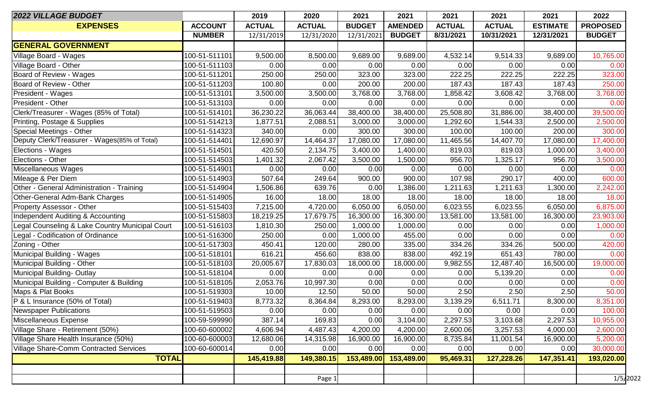| 2022 VILLAGE BUDGET                             |                | 2019          | 2020          | 2021          | 2021           | 2021          | 2021          | 2021            | 2022            |
|-------------------------------------------------|----------------|---------------|---------------|---------------|----------------|---------------|---------------|-----------------|-----------------|
| <b>EXPENSES</b>                                 | <b>ACCOUNT</b> | <b>ACTUAL</b> | <b>ACTUAL</b> | <b>BUDGET</b> | <b>AMENDED</b> | <b>ACTUAL</b> | <b>ACTUAL</b> | <b>ESTIMATE</b> | <b>PROPOSED</b> |
|                                                 | <b>NUMBER</b>  | 12/31/2019    | 12/31/2020    | 12/31/2021    | <b>BUDGET</b>  | 8/31/2021     | 10/31/2021    | 12/31/2021      | <b>BUDGET</b>   |
| <b>GENERAL GOVERNMENT</b>                       |                |               |               |               |                |               |               |                 |                 |
| Village Board - Wages                           | 100-51-511101  | 9,500.00      | 8,500.00      | 9,689.00      | 9,689.00       | 4,532.14      | 9,514.33      | 9,689.00        | 10,765.00       |
| Village Board - Other                           | 100-51-511103  | 0.00          | 0.00          | 0.00          | 0.00           | 0.00          | 0.00          | 0.00            | 0.00            |
| Board of Review - Wages                         | 100-51-511201  | 250.00        | 250.00        | 323.00        | 323.00         | 222.25        | 222.25        | 222.25          | 323.00          |
| Board of Review - Other                         | 100-51-511203  | 100.80        | 0.00          | 200.00        | 200.00         | 187.43        | 187.43        | 187.43          | 250.00          |
| President - Wages                               | 100-51-513101  | 3,500.00      | 3,500.00      | 3,768.00      | 3,768.00       | 1,858.42      | 3,608.42      | 3,768.00        | 3,768.00        |
| President - Other                               | 100-51-513103  | 0.00          | 0.00          | 0.00          | 0.00           | 0.00          | 0.00          | 0.00            | 0.00            |
| Clerk/Treasurer - Wages (85% of Total)          | 100-51-514101  | 36,230.22     | 36,063.44     | 38,400.00     | 38,400.00      | 25,508.80     | 31,886.00     | 38,400.00       | 39,500.00       |
| Printing, Postage & Supplies                    | 100-51-514213  | 1,877.51      | 2,088.51      | 3,000.00      | 3,000.00       | 1,292.60      | 1,544.33      | 2,500.00        | 2,500.00        |
| Special Meetings - Other                        | 100-51-514323  | 340.00        | 0.00          | 300.00        | 300.00         | 100.00        | 100.00        | 200.00          | 300.00          |
| Deputy Clerk/Treasurer - Wages(85% of Total)    | 100-51-514401  | 12,690.97     | 14,464.37     | 17,080.00     | 17,080.00      | 11,465.56     | 14,407.70     | 17,080.00       | 17,400.00       |
| Elections - Wages                               | 100-51-514501  | 420.50        | 2,134.75      | 3,400.00      | 1,400.00       | 819.03        | 819.03        | 1,000.00        | 3,400.00        |
| Elections - Other                               | 100-51-514503  | 1,401.32      | 2,067.42      | 3,500.00      | 1,500.00       | 956.70        | 1,325.17      | 956.70          | 3,500.00        |
| Miscellaneous Wages                             | 100-51-514901  | 0.00          | 0.00          | 0.00          | 0.00           | 0.00          | 0.00          | 0.00            | 0.00            |
| Mileage & Per Diem                              | 100-51-514903  | 507.64        | 249.64        | 900.00        | 900.00         | 107.98        | 290.17        | 400.00          | 600.00          |
| Other - General Administration - Training       | 100-51-514904  | 1,506.86      | 639.76        | 0.00          | 1,386.00       | 1,211.63      | 1,211.63      | 1,300.00        | 2,242.00        |
| Other-General Adm-Bank Charges                  | 100-51-514905  | 16.00         | 18.00         | 18.00         | 18.00          | 18.00         | 18.00         | 18.00           | 18.00           |
| <b>Property Assessor - Other</b>                | 100-51-515403  | 7,215.00      | 4,720.00      | 6,050.00      | 6,050.00       | 6,023.55      | 6,023.55      | 6,050.00        | 6,875.00        |
| Independent Auditing & Accounting               | 100-51-515803  | 18,219.25     | 17,679.75     | 16,300.00     | 16,300.00      | 13,581.00     | 13,581.00     | 16,300.00       | 23,903.00       |
| Legal Counseling & Lake Country Municipal Court | 100-51-516103  | 1,810.30      | 250.00        | 1,000.00      | 1,000.00       | 0.00          | 0.00          | 0.00            | 1,000.00        |
| Legal - Codification of Ordinance               | 100-51-516300  | 250.00        | 0.00          | 1,000.00      | 455.00         | 0.00          | 0.00          | 0.00            | 0.00            |
| Zoning - Other                                  | 100-51-517303  | 450.41        | 120.00        | 280.00        | 335.00         | 334.26        | 334.26        | 500.00          | 420.00          |
| Municipal Building - Wages                      | 100-51-518101  | 616.21        | 456.60        | 838.00        | 838.00         | 492.19        | 651.43        | 780.00          | 0.00            |
| Municipal Building - Other                      | 100-51-518103  | 20,005.67     | 17,830.03     | 18,000.00     | 18,000.00      | 9,982.55      | 12,487.40     | 16,500.00       | 19,000.00       |
| Municipal Building-Outlay                       | 100-51-518104  | 0.00          | 0.00          | 0.00          | 0.00           | 0.00          | 5,139.20      | 0.00            | 0.00            |
| Municipal Building - Computer & Building        | 100-51-518105  | 2,053.76      | 10,997.30     | 0.00          | 0.00           | 0.00          | 0.00          | 0.00            | 0.00            |
| Maps & Plat Books                               | 100-51-519303  | 10.00         | 12.50         | 50.00         | 50.00          | 2.50          | 2.50          | 2.50            | 50.00           |
| P & L Insurance (50% of Total)                  | 100-51-519403  | 8,773.32      | 8,364.84      | 8,293.00      | 8,293.00       | 3,139.29      | 6,511.71      | 8,300.00        | 8,351.00        |
| <b>Newspaper Publications</b>                   | 100-51-519503  | 0.00          | 0.00          | 0.00          | 0.00           | 0.00          | 0.00          | 0.00            | 100.00          |
| Miscellaneous Expense                           | 100-59-599990  | 387.14        | 169.83        | 0.00          | 3,104.00       | 2,297.53      | 3,103.68      | 2,297.53        | 10,955.00       |
| Village Share - Retirement (50%)                | 100-60-600002  | 4,606.94      | 4,487.43      | 4,200.00      | 4,200.00       | 2,600.06      | 3,257.53      | 4,000.00        | 2,600.00        |
| Village Share Health Insurance (50%)            | 100-60-600003  | 12,680.06     | 14,315.98     | 16,900.00     | 16,900.00      | 8,735.84      | 11,001.54     | 16,900.00       | 5,200.00        |
| Village Share-Comm Contracted Services          | 100-60-600014  | 0.00          | 0.00          | 0.00          | 0.00           | 0.00          | 0.00          | 0.00            | 30,000.00       |
| <b>TOTAL</b>                                    |                | 145,419.88    | 149,380.15    | 153,489.00    | 153,489.00     | 95,469.31     | 127,228.26    | 147,351.41      | 193,020.00      |
|                                                 |                |               |               |               |                |               |               |                 |                 |
|                                                 |                |               | Page 1        |               |                |               |               |                 | 1/5/2022        |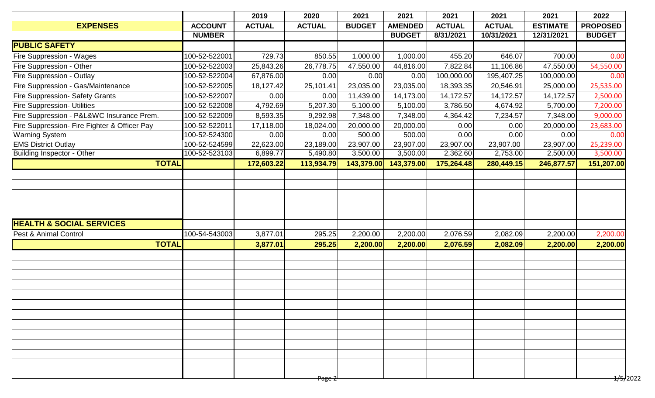|                                              |                | 2019          | 2020              | 2021          | 2021           | 2021          | 2021          | 2021            | 2022                 |
|----------------------------------------------|----------------|---------------|-------------------|---------------|----------------|---------------|---------------|-----------------|----------------------|
| <b>EXPENSES</b>                              | <b>ACCOUNT</b> | <b>ACTUAL</b> | <b>ACTUAL</b>     | <b>BUDGET</b> | <b>AMENDED</b> | <b>ACTUAL</b> | <b>ACTUAL</b> | <b>ESTIMATE</b> | <b>PROPOSED</b>      |
|                                              | <b>NUMBER</b>  |               |                   |               | <b>BUDGET</b>  | 8/31/2021     | 10/31/2021    | 12/31/2021      | <b>BUDGET</b>        |
| <b>PUBLIC SAFETY</b>                         |                |               |                   |               |                |               |               |                 |                      |
| <b>Fire Suppression - Wages</b>              | 100-52-522001  | 729.73        | 850.55            | 1,000.00      | 1,000.00       | 455.20        | 646.07        | 700.00          | 0.00                 |
| <b>Fire Suppression - Other</b>              | 100-52-522003  | 25,843.26     | 26,778.75         | 47,550.00     | 44,816.00      | 7,822.84      | 11,106.86     | 47,550.00       | 54,550.00            |
| <b>Fire Suppression - Outlay</b>             | 100-52-522004  | 67,876.00     | 0.00              | 0.00          | 0.00           | 100,000.00    | 195,407.25    | 100,000.00      | 0.00                 |
| Fire Suppression - Gas/Maintenance           | 100-52-522005  | 18,127.42     | 25,101.41         | 23,035.00     | 23,035.00      | 18,393.35     | 20,546.91     | 25,000.00       | 25,535.00            |
| <b>Fire Suppression- Safety Grants</b>       | 100-52-522007  | 0.00          | 0.00              | 11,439.00     | 14,173.00      | 14,172.57     | 14,172.57     | 14,172.57       | 2,500.00             |
| <b>Fire Suppression- Utilities</b>           | 100-52-522008  | 4,792.69      | 5,207.30          | 5,100.00      | 5,100.00       | 3,786.50      | 4,674.92      | 5,700.00        | 7,200.00             |
| Fire Suppression - P&L&WC Insurance Prem.    | 100-52-522009  | 8,593.35      | 9,292.98          | 7,348.00      | 7,348.00       | 4,364.42      | 7,234.57      | 7,348.00        | 9,000.00             |
| Fire Suppression- Fire Fighter & Officer Pay | 100-52-522011  | 17,118.00     | 18,024.00         | 20,000.00     | 20,000.00      | 0.00          | 0.00          | 20,000.00       | 23,683.00            |
| Warning System                               | 100-52-524300  | 0.00          | 0.00              | 500.00        | 500.00         | 0.00          | 0.00          | 0.00            | 0.00                 |
| <b>EMS District Outlay</b>                   | 100-52-524599  | 22,623.00     | 23,189.00         | 23,907.00     | 23,907.00      | 23,907.00     | 23,907.00     | 23,907.00       | 25,239.00            |
| <b>Building Inspector - Other</b>            | 100-52-523103  | 6,899.77      | 5,490.80          | 3,500.00      | 3,500.00       | 2,362.60      | 2,753.00      | 2,500.00        | 3,500.00             |
| <b>TOTAL</b>                                 |                | 172,603.22    | 113,934.79        | 143,379.00    | 143,379.00     | 175,264.48    | 280,449.15    | 246,877.57      | 151,207.00           |
|                                              |                |               |                   |               |                |               |               |                 |                      |
|                                              |                |               |                   |               |                |               |               |                 |                      |
|                                              |                |               |                   |               |                |               |               |                 |                      |
|                                              |                |               |                   |               |                |               |               |                 |                      |
|                                              |                |               |                   |               |                |               |               |                 |                      |
| <b>HEALTH &amp; SOCIAL SERVICES</b>          |                |               |                   |               |                |               |               |                 |                      |
| Pest & Animal Control                        | 100-54-543003  | 3,877.01      | 295.25            | 2,200.00      | 2,200.00       | 2,076.59      | 2,082.09      | 2,200.00        | 2,200.00             |
| <b>TOTAL</b>                                 |                | 3,877.01      | 295.25            | 2,200.00      | 2,200.00       | 2,076.59      | 2,082.09      | 2,200.00        | 2,200.00             |
|                                              |                |               |                   |               |                |               |               |                 |                      |
|                                              |                |               |                   |               |                |               |               |                 |                      |
|                                              |                |               |                   |               |                |               |               |                 |                      |
|                                              |                |               |                   |               |                |               |               |                 |                      |
|                                              |                |               |                   |               |                |               |               |                 |                      |
|                                              |                |               |                   |               |                |               |               |                 |                      |
|                                              |                |               |                   |               |                |               |               |                 |                      |
|                                              |                |               |                   |               |                |               |               |                 |                      |
|                                              |                |               |                   |               |                |               |               |                 |                      |
|                                              |                |               |                   |               |                |               |               |                 |                      |
|                                              |                |               |                   |               |                |               |               |                 |                      |
|                                              |                |               |                   |               |                |               |               |                 |                      |
|                                              |                |               |                   |               |                |               |               |                 |                      |
|                                              |                |               | <del>Page 2</del> |               |                |               |               |                 | <del>1/5/</del> 2022 |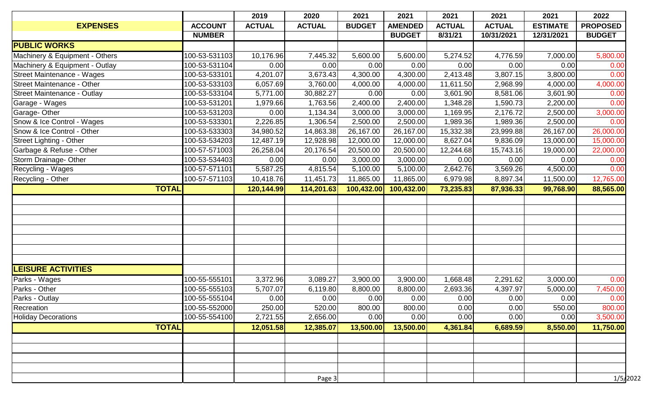|                                    |                | 2019          | 2020          | 2021          | 2021           | 2021          | 2021          | 2021            | 2022            |
|------------------------------------|----------------|---------------|---------------|---------------|----------------|---------------|---------------|-----------------|-----------------|
| <b>EXPENSES</b>                    | <b>ACCOUNT</b> | <b>ACTUAL</b> | <b>ACTUAL</b> | <b>BUDGET</b> | <b>AMENDED</b> | <b>ACTUAL</b> | <b>ACTUAL</b> | <b>ESTIMATE</b> | <b>PROPOSED</b> |
|                                    | <b>NUMBER</b>  |               |               |               | <b>BUDGET</b>  | 8/31/21       | 10/31/2021    | 12/31/2021      | <b>BUDGET</b>   |
| <b>PUBLIC WORKS</b>                |                |               |               |               |                |               |               |                 |                 |
| Machinery & Equipment - Others     | 100-53-531103  | 10,176.96     | 7,445.32      | 5,600.00      | 5,600.00       | 5,274.52      | 4,776.59      | 7,000.00        | 5,800.00        |
| Machinery & Equipment - Outlay     | 100-53-531104  | 0.00          | 0.00          | 0.00          | 0.00           | 0.00          | 0.00          | 0.00            | 0.00            |
| Street Maintenance - Wages         | 100-53-533101  | 4,201.07      | 3,673.43      | 4,300.00      | 4,300.00       | 2,413.48      | 3,807.15      | 3,800.00        | 0.00            |
| <b>Street Maintenance - Other</b>  | 100-53-533103  | 6,057.69      | 3,760.00      | 4,000.00      | 4,000.00       | 11,611.50     | 2,968.99      | 4,000.00        | 4,000.00        |
| <b>Street Maintenance - Outlay</b> | 100-53-533104  | 5,771.00      | 30,882.27     | 0.00          | 0.00           | 3,601.90      | 8,581.06      | 3,601.90        | 0.00            |
| Garage - Wages                     | 100-53-531201  | 1,979.66      | 1,763.56      | 2,400.00      | 2,400.00       | 1,348.28      | 1,590.73      | 2,200.00        | 0.00            |
| Garage-Other                       | 100-53-531203  | 0.00          | 1,134.34      | 3,000.00      | 3,000.00       | 1,169.95      | 2,176.72      | 2,500.00        | 3,000.00        |
| Snow & Ice Control - Wages         | 100-53-533301  | 2,226.85      | 1,306.54      | 2,500.00      | 2,500.00       | 1,989.36      | 1,989.36      | 2,500.00        | 0.00            |
| Snow & Ice Control - Other         | 100-53-533303  | 34,980.52     | 14,863.38     | 26,167.00     | 26,167.00      | 15,332.38     | 23,999.88     | 26,167.00       | 26,000.00       |
| <b>Street Lighting - Other</b>     | 100-53-534203  | 12,487.19     | 12,928.98     | 12,000.00     | 12,000.00      | 8,627.04      | 9,836.09      | 13,000.00       | 15,000.00       |
| Garbage & Refuse - Other           | 100-57-571003  | 26,258.04     | 20,176.54     | 20,500.00     | 20,500.00      | 12,244.68     | 15,743.16     | 19,000.00       | 22,000.00       |
| Storm Drainage- Other              | 100-53-534403  | 0.00          | 0.00          | 3,000.00      | 3,000.00       | 0.00          | 0.00          | 0.00            | 0.00            |
| Recycling - Wages                  | 100-57-571101  | 5,587.25      | 4,815.54      | 5,100.00      | 5,100.00       | 2,642.76      | 3,569.26      | 4,500.00        | 0.00            |
| Recycling - Other                  | 100-57-571103  | 10,418.76     | 11,451.73     | 11,865.00     | 11,865.00      | 6,979.98      | 8,897.34      | 11,500.00       | 12,765.00       |
| <b>TOTAL</b>                       |                | 120,144.99    | 114,201.63    | 100,432.00    | 100,432.00     | 73,235.83     | 87,936.33     | 99,768.90       | 88,565.00       |
|                                    |                |               |               |               |                |               |               |                 |                 |
|                                    |                |               |               |               |                |               |               |                 |                 |
|                                    |                |               |               |               |                |               |               |                 |                 |
|                                    |                |               |               |               |                |               |               |                 |                 |
|                                    |                |               |               |               |                |               |               |                 |                 |
|                                    |                |               |               |               |                |               |               |                 |                 |
|                                    |                |               |               |               |                |               |               |                 |                 |
| <b>LEISURE ACTIVITIES</b>          |                |               |               |               |                |               |               |                 |                 |
| Parks - Wages                      | 100-55-555101  | 3,372.96      | 3,089.27      | 3,900.00      | 3,900.00       | 1,668.48      | 2,291.62      | 3,000.00        | 0.00            |
| Parks - Other                      | 100-55-555103  | 5,707.07      | 6,119.80      | 8,800.00      | 8,800.00       | 2,693.36      | 4,397.97      | 5,000.00        | 7,450.00        |
| Parks - Outlay                     | 100-55-555104  | 0.00          | 0.00          | 0.00          | 0.00           | 0.00          | 0.00          | 0.00            | 0.00            |
| Recreation                         | 100-55-552000  | 250.00        | 520.00        | 800.00        | 800.00         | 0.00          | 0.00          | 550.00          | 800.00          |
| <b>Holiday Decorations</b>         | 100-55-554100  | 2,721.55      | 2,656.00      | 0.00          | 0.00           | 0.00          | 0.00          | 0.00            | 3,500.00        |
| <b>TOTAL</b>                       |                | 12,051.58     | 12,385.07     | 13,500.00     | 13,500.00      | 4,361.84      | 6,689.59      | 8,550.00        | 11,750.00       |
|                                    |                |               |               |               |                |               |               |                 |                 |
|                                    |                |               |               |               |                |               |               |                 |                 |
|                                    |                |               |               |               |                |               |               |                 |                 |
|                                    |                |               |               |               |                |               |               |                 |                 |
|                                    |                |               |               |               |                |               |               |                 |                 |
|                                    |                |               | Page $3$      |               |                |               |               |                 | 1/5/2022        |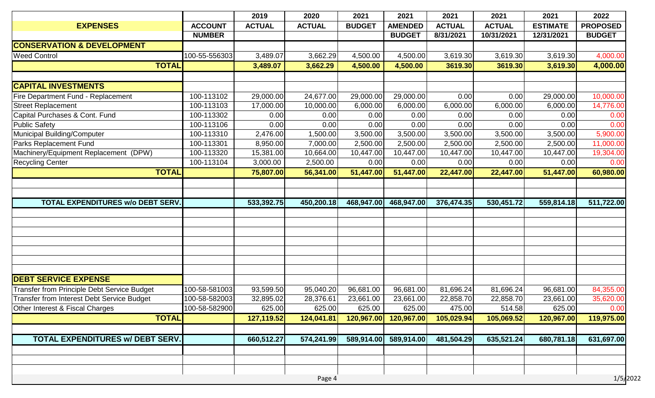|                                                    |                | 2019          | 2020          | 2021          | 2021           | 2021          | 2021          | 2021            | 2022            |
|----------------------------------------------------|----------------|---------------|---------------|---------------|----------------|---------------|---------------|-----------------|-----------------|
| <b>EXPENSES</b>                                    | <b>ACCOUNT</b> | <b>ACTUAL</b> | <b>ACTUAL</b> | <b>BUDGET</b> | <b>AMENDED</b> | <b>ACTUAL</b> | <b>ACTUAL</b> | <b>ESTIMATE</b> | <b>PROPOSED</b> |
|                                                    | <b>NUMBER</b>  |               |               |               | <b>BUDGET</b>  | 8/31/2021     | 10/31/2021    | 12/31/2021      | <b>BUDGET</b>   |
| <b>CONSERVATION &amp; DEVELOPMENT</b>              |                |               |               |               |                |               |               |                 |                 |
| <b>Weed Control</b>                                | 100-55-556303  | 3,489.07      | 3,662.29      | 4,500.00      | 4,500.00       | 3,619.30      | 3,619.30      | 3,619.30        | 4,000.00        |
| <b>TOTAL</b>                                       |                | 3,489.07      | 3,662.29      | 4,500.00      | 4,500.00       | 3619.30       | 3619.30       | 3,619.30        | 4,000.00        |
|                                                    |                |               |               |               |                |               |               |                 |                 |
| <b>CAPITAL INVESTMENTS</b>                         |                |               |               |               |                |               |               |                 |                 |
| Fire Department Fund - Replacement                 | 100-113102     | 29,000.00     | 24,677.00     | 29,000.00     | 29,000.00      | 0.00          | 0.00          | 29,000.00       | 10,000.00       |
| <b>Street Replacement</b>                          | 100-113103     | 17,000.00     | 10,000.00     | 6,000.00      | 6,000.00       | 6,000.00      | 6,000.00      | 6,000.00        | 14,776.00       |
| Capital Purchases & Cont. Fund                     | 100-113302     | 0.00          | 0.00          | 0.00          | 0.00           | 0.00          | 0.00          | 0.00            | 0.00            |
| <b>Public Safety</b>                               | 100-113106     | 0.00          | 0.00          | 0.00          | 0.00           | 0.00          | 0.00          | 0.00            | 0.00            |
| Municipal Building/Computer                        | 100-113310     | 2,476.00      | 1,500.00      | 3,500.00      | 3,500.00       | 3,500.00      | 3,500.00      | 3,500.00        | 5,900.00        |
| Parks Replacement Fund                             | 100-113301     | 8,950.00      | 7,000.00      | 2,500.00      | 2,500.00       | 2,500.00      | 2,500.00      | 2,500.00        | 11,000.00       |
| Machinery/Equipment Replacement (DPW)              | 100-113320     | 15,381.00     | 10,664.00     | 10,447.00     | 10,447.00      | 10,447.00     | 10,447.00     | 10,447.00       | 19,304.00       |
| <b>Recycling Center</b>                            | 100-113104     | 3,000.00      | 2,500.00      | 0.00          | 0.00           | 0.00          | 0.00          | 0.00            | 0.00            |
| <b>TOTAL</b>                                       |                | 75,807.00     | 56,341.00     | 51,447.00     | 51,447.00      | 22,447.00     | 22,447.00     | 51,447.00       | 60,980.00       |
|                                                    |                |               |               |               |                |               |               |                 |                 |
|                                                    |                |               |               |               |                |               |               |                 |                 |
| <b>TOTAL EXPENDITURES W/o DEBT SERV.</b>           |                | 533,392.75    | 450,200.18    | 468,947.00    | 468,947.00     | 376,474.35    | 530,451.72    | 559,814.18      | 511,722.00      |
|                                                    |                |               |               |               |                |               |               |                 |                 |
|                                                    |                |               |               |               |                |               |               |                 |                 |
|                                                    |                |               |               |               |                |               |               |                 |                 |
|                                                    |                |               |               |               |                |               |               |                 |                 |
|                                                    |                |               |               |               |                |               |               |                 |                 |
|                                                    |                |               |               |               |                |               |               |                 |                 |
|                                                    |                |               |               |               |                |               |               |                 |                 |
| <b>DEBT SERVICE EXPENSE</b>                        |                |               |               |               |                |               |               |                 |                 |
| <b>Transfer from Principle Debt Service Budget</b> | 100-58-581003  | 93,599.50     | 95,040.20     | 96,681.00     | 96,681.00      | 81,696.24     | 81,696.24     | 96,681.00       | 84,355.00       |
| Transfer from Interest Debt Service Budget         | 100-58-582003  | 32,895.02     | 28,376.61     | 23,661.00     | 23,661.00      | 22,858.70     | 22,858.70     | 23,661.00       | 35,620.00       |
| Other Interest & Fiscal Charges                    | 100-58-582900  | 625.00        | 625.00        | 625.00        | 625.00         | 475.00        | 514.58        | 625.00          | 0.00            |
| <b>TOTAL</b>                                       |                | 127,119.52    | 124,041.81    | 120,967.00    | 120,967.00     | 105,029.94    | 105,069.52    | 120,967.00      | 119,975.00      |
|                                                    |                |               |               |               |                |               |               |                 |                 |
| <b>TOTAL EXPENDITURES W/ DEBT SERV.</b>            |                | 660,512.27    | 574,241.99    | 589,914.00    | 589,914.00     | 481,504.29    | 635,521.24    | 680,781.18      | 631,697.00      |
|                                                    |                |               |               |               |                |               |               |                 |                 |
|                                                    |                |               |               |               |                |               |               |                 |                 |
|                                                    |                |               |               |               |                |               |               |                 |                 |
|                                                    |                |               | Page 4        |               |                |               |               |                 | 1/5/2022        |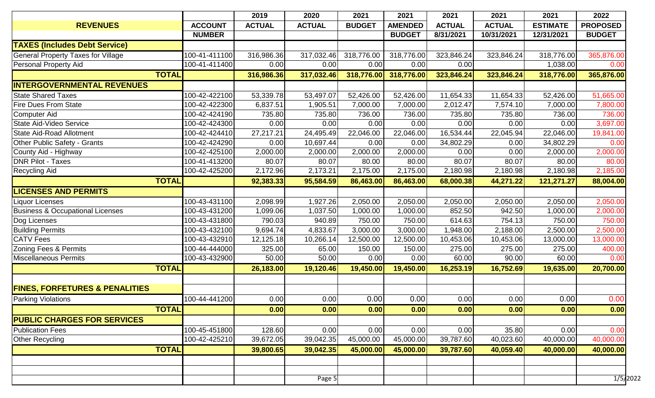|                                             |              |                | 2019          | 2020          | 2021          | 2021           | 2021          | 2021          | 2021            | 2022            |
|---------------------------------------------|--------------|----------------|---------------|---------------|---------------|----------------|---------------|---------------|-----------------|-----------------|
| <b>REVENUES</b>                             |              | <b>ACCOUNT</b> | <b>ACTUAL</b> | <b>ACTUAL</b> | <b>BUDGET</b> | <b>AMENDED</b> | <b>ACTUAL</b> | <b>ACTUAL</b> | <b>ESTIMATE</b> | <b>PROPOSED</b> |
|                                             |              | <b>NUMBER</b>  |               |               |               | <b>BUDGET</b>  | 8/31/2021     | 10/31/2021    | 12/31/2021      | <b>BUDGET</b>   |
| <b>TAXES (Includes Debt Service)</b>        |              |                |               |               |               |                |               |               |                 |                 |
| <b>General Property Taxes for Village</b>   |              | 100-41-411100  | 316,986.36    | 317,032.46    | 318,776.00    | 318,776.00     | 323,846.24    | 323,846.24    | 318,776.00      | 365,876.00      |
| Personal Property Aid                       |              | 100-41-411400  | 0.00          | 0.00          | 0.00          | 0.00           | 0.00          |               | 1,038.00        | 0.00            |
|                                             | <b>TOTAL</b> |                | 316,986.36    | 317,032.46    | 318,776.00    | 318,776.00     | 323,846.24    | 323,846.24    | 318,776.00      | 365,876.00      |
| <b>INTERGOVERNMENTAL REVENUES</b>           |              |                |               |               |               |                |               |               |                 |                 |
| <b>State Shared Taxes</b>                   |              | 100-42-422100  | 53,339.78     | 53,497.07     | 52,426.00     | 52,426.00      | 11,654.33     | 11,654.33     | 52,426.00       | 51,665.00       |
| <b>Fire Dues From State</b>                 |              | 100-42-422300  | 6,837.51      | 1,905.51      | 7,000.00      | 7,000.00       | 2,012.47      | 7,574.10      | 7,000.00        | 7,800.00        |
| Computer Aid                                |              | 100-42-424190  | 735.80        | 735.80        | 736.00        | 736.00         | 735.80        | 735.80        | 736.00          | 736.00          |
| State Aid-Video Service                     |              | 100-42-424300  | 0.00          | 0.00          | 0.00          | 0.00           | 0.00          | 0.00          | 0.00            | 3,697.00        |
| State Aid-Road Allotment                    |              | 100-42-424410  | 27,217.21     | 24,495.49     | 22,046.00     | 22,046.00      | 16,534.44     | 22,045.94     | 22,046.00       | 19,841.00       |
| <b>Other Public Safety - Grants</b>         |              | 100-42-424290  | 0.00          | 10,697.44     | 0.00          | 0.00           | 34,802.29     | 0.00          | 34,802.29       | 0.00            |
| County Aid - Highway                        |              | 100-42-425100  | 2,000.00      | 2,000.00      | 2,000.00      | 2,000.00       | 0.00          | 0.00          | 2,000.00        | 2,000.00        |
| <b>DNR Pilot - Taxes</b>                    |              | 100-41-413200  | 80.07         | 80.07         | 80.00         | 80.00          | 80.07         | 80.07         | 80.00           | 80.00           |
| <b>Recycling Aid</b>                        |              | 100-42-425200  | 2,172.96      | 2,173.21      | 2,175.00      | 2,175.00       | 2,180.98      | 2,180.98      | 2,180.98        | 2,185.00        |
|                                             | <b>TOTAL</b> |                | 92,383.33     | 95,584.59     | 86,463.00     | 86,463.00      | 68,000.38     | 44,271.22     | 121,271.27      | 88,004.00       |
| <b>LICENSES AND PERMITS</b>                 |              |                |               |               |               |                |               |               |                 |                 |
| <b>Liquor Licenses</b>                      |              | 100-43-431100  | 2,098.99      | 1,927.26      | 2,050.00      | 2,050.00       | 2,050.00      | 2,050.00      | 2,050.00        | 2,050.00        |
| <b>Business &amp; Occupational Licenses</b> |              | 100-43-431200  | 1,099.06      | 1,037.50      | 1,000.00      | 1,000.00       | 852.50        | 942.50        | 1,000.00        | 2,000.00        |
| Dog Licenses                                |              | 100-43-431800  | 790.03        | 940.89        | 750.00        | 750.00         | 614.63        | 754.13        | 750.00          | 750.00          |
| <b>Building Permits</b>                     |              | 100-43-432100  | 9,694.74      | 4,833.67      | 3,000.00      | 3,000.00       | 1,948.00      | 2,188.00      | 2,500.00        | 2,500.00        |
| <b>CATV</b> Fees                            |              | 100-43-432910  | 12,125.18     | 10,266.14     | 12,500.00     | 12,500.00      | 10,453.06     | 10,453.06     | 13,000.00       | 13,000.00       |
| Zoning Fees & Permits                       |              | 100-44-444000  | 325.00        | 65.00         | 150.00        | 150.00         | 275.00        | 275.00        | 275.00          | 400.00          |
| Miscellaneous Permits                       |              | 100-43-432900  | 50.00         | 50.00         | 0.00          | 0.00           | 60.00         | 90.00         | 60.00           | 0.00            |
|                                             | <b>TOTAL</b> |                | 26,183.00     | 19,120.46     | 19,450.00     | 19,450.00      | 16,253.19     | 16,752.69     | 19,635.00       | 20,700.00       |
|                                             |              |                |               |               |               |                |               |               |                 |                 |
| <b>FINES, FORFETURES &amp; PENALITIES</b>   |              |                |               |               |               |                |               |               |                 |                 |
| <b>Parking Violations</b>                   |              | 100-44-441200  | 0.00          | 0.00          | 0.00          | 0.00           | 0.00          | 0.00          | 0.00            | 0.00            |
|                                             | <b>TOTAL</b> |                | 0.00          | 0.00          | 0.00          | 0.00           | 0.00          | 0.00          | 0.00            | 0.00            |
| <b>PUBLIC CHARGES FOR SERVICES</b>          |              |                |               |               |               |                |               |               |                 |                 |
| <b>Publication Fees</b>                     |              | 100-45-451800  | 128.60        | 0.00          | 0.00          | 0.00           | 0.00          | 35.80         | 0.00            | 0.00            |
| <b>Other Recycling</b>                      |              | 100-42-425210  | 39,672.05     | 39,042.35     | 45,000.00     | 45,000.00      | 39,787.60     | 40,023.60     | 40,000.00       | 40,000.00       |
|                                             | <b>TOTAL</b> |                | 39,800.65     | 39,042.35     | 45,000.00     | 45,000.00      | 39,787.60     | 40,059.40     | 40,000.00       | 40,000.00       |
|                                             |              |                |               |               |               |                |               |               |                 |                 |
|                                             |              |                |               |               |               |                |               |               |                 |                 |
|                                             |              |                |               | Page 5        |               |                |               |               |                 | 1/5/2022        |
|                                             |              |                |               |               |               |                |               |               |                 |                 |